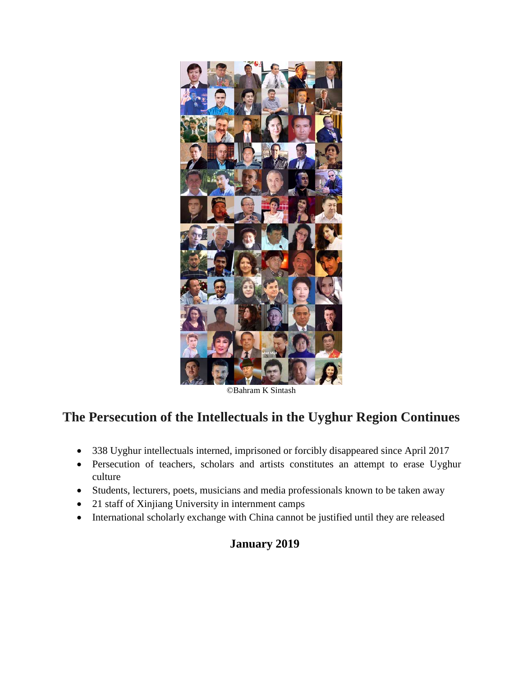

©Bahram K Sintash

## **The Persecution of the Intellectuals in the Uyghur Region Continues**

- 338 Uyghur intellectuals interned, imprisoned or forcibly disappeared since April 2017
- Persecution of teachers, scholars and artists constitutes an attempt to erase Uyghur culture
- Students, lecturers, poets, musicians and media professionals known to be taken away
- 21 staff of Xinjiang University in internment camps
- International scholarly exchange with China cannot be justified until they are released

### **January 2019**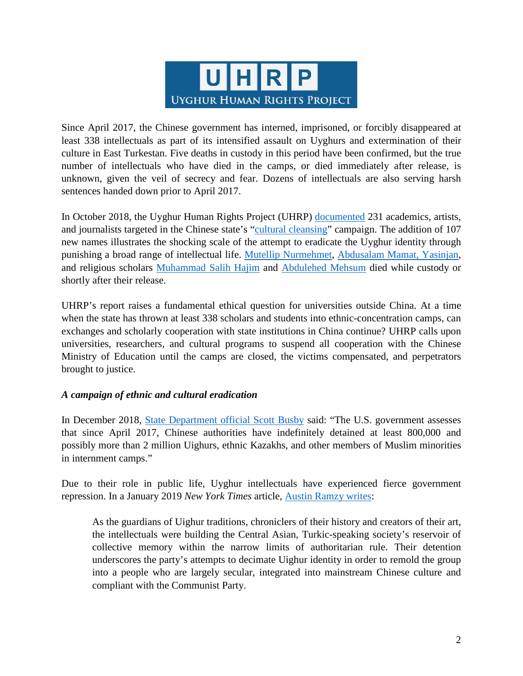

Since April 2017, the Chinese government has interned, imprisoned, or forcibly disappeared at least 338 intellectuals as part of its intensified assault on Uyghurs and extermination of their culture in East Turkestan. Five deaths in custody in this period have been confirmed, but the true number of intellectuals who have died in the camps, or died immediately after release, is unknown, given the veil of secrecy and fear. Dozens of intellectuals are also serving harsh sentences handed down prior to April 2017.

In October 2018, the Uyghur Human Rights Project (UHRP) [documented](https://docs.uhrp.org/pdf/UHRP_Disappeared_Forever_.pdf) 231 academics, artists, and journalists targeted in the Chinese state's ["cultural cleansing"](https://www.apnews.com/0db368402a214799921a05743b7acff7) campaign. The addition of 107 new names illustrates the shocking scale of the attempt to eradicate the Uyghur identity through punishing a broad range of intellectual life. [Mutellip Nurmehmet,](https://twitter.com/uyghurspeaker/status/1077115029927931904?lang=en) [Abdusalam Mamat, Yasinjan,](https://www.rfa.org/english/news/uyghur/students-12212017141002.html) and religious scholars [Muhammad Salih Hajim](https://uhrp.org/press-release/uyghur-human-rights-project-condemns-death-custody-scholar-muhammad-salih-hajim.html) and [Abdulehed Mehsum](https://www.uyghurcongress.org/en/?p=34630) died while custody or shortly after their release.

UHRP's report raises a fundamental ethical question for universities outside China. At a time when the state has thrown at least 338 scholars and students into ethnic-concentration camps, can exchanges and scholarly cooperation with state institutions in China continue? UHRP calls upon universities, researchers, and cultural programs to suspend all cooperation with the Chinese Ministry of Education until the camps are closed, the victims compensated, and perpetrators brought to justice.

#### *A campaign of ethnic and cultural eradication*

In December 2018, [State Department official Scott Busby](https://thehill.com/homenews/administration/419855-state-dept-official-china-holding-800k-uighurs-others-in-internment) said: "The U.S. government assesses that since April 2017, Chinese authorities have indefinitely detained at least 800,000 and possibly more than 2 million Uighurs, ethnic Kazakhs, and other members of Muslim minorities in internment camps."

Due to their role in public life, Uyghur intellectuals have experienced fierce government repression. In a January 2019 *New York Times* article, [Austin Ramzy writes:](https://www.nytimes.com/2019/01/05/world/asia/china-xinjiang-uighur-intellectuals.html)

As the guardians of Uighur traditions, chroniclers of their history and creators of their art, the intellectuals were building the Central Asian, Turkic-speaking society's reservoir of collective memory within the narrow limits of authoritarian rule. Their detention underscores the party's attempts to decimate Uighur identity in order to remold the group into a people who are largely secular, integrated into mainstream Chinese culture and compliant with the Communist Party.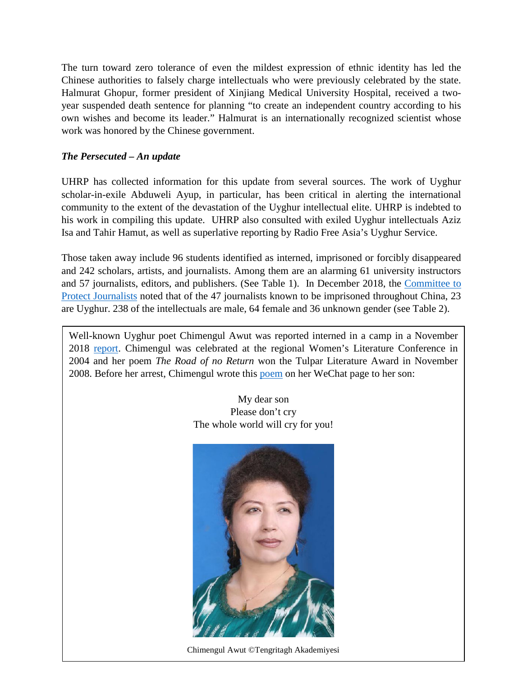The turn toward zero tolerance of even the mildest expression of ethnic identity has led the Chinese authorities to falsely charge intellectuals who were previously celebrated by the state. Halmurat Ghopur, former president of Xinjiang Medical University Hospital, received a twoyear suspended death sentence for planning "to create an independent country according to his own wishes and become its leader." Halmurat is an internationally recognized scientist whose work was honored by the Chinese government.

#### *The Persecuted – An update*

UHRP has collected information for this update from several sources. The work of Uyghur scholar-in-exile Abduweli Ayup, in particular, has been critical in alerting the international community to the extent of the devastation of the Uyghur intellectual elite. UHRP is indebted to his work in compiling this update. UHRP also consulted with exiled Uyghur intellectuals Aziz Isa and Tahir Hamut, as well as superlative reporting by Radio Free Asia's Uyghur Service.

Those taken away include 96 students identified as interned, imprisoned or forcibly disappeared and 242 scholars, artists, and journalists. Among them are an alarming 61 university instructors and 57 journalists, editors, and publishers. (See Table 1). In December 2018, the [Committee to](https://cpj.org/data/imprisoned/2018/?status=Imprisoned&cc_fips%5B%5D=CH&start_year=2018&end_year=2018&group_by=location)  [Protect Journalists](https://cpj.org/data/imprisoned/2018/?status=Imprisoned&cc_fips%5B%5D=CH&start_year=2018&end_year=2018&group_by=location) noted that of the 47 journalists known to be imprisoned throughout China, 23 are Uyghur. 238 of the intellectuals are male, 64 female and 36 unknown gender (see Table 2).

Well-known Uyghur poet Chimengul Awut was reported interned in a camp in a November 2018 [report.](https://www.rfa.org/english/news/uyghur/investigation-uyghur-poet-detained-for-editing-problematic-book-11132018144554.html) Chimengul was celebrated at the regional Women's Literature Conference in 2004 and her poem *The Road of no Return* won the Tulpar Literature Award in November 2008. Before her arrest, Chimengul wrote this [poem](http://www.azizisa.org/en/tag/chimengul-awut/) on her WeChat page to her son:

> My dear son Please don't cry The whole world will cry for you!



Chimengul Awut ©Tengritagh Akademiyesi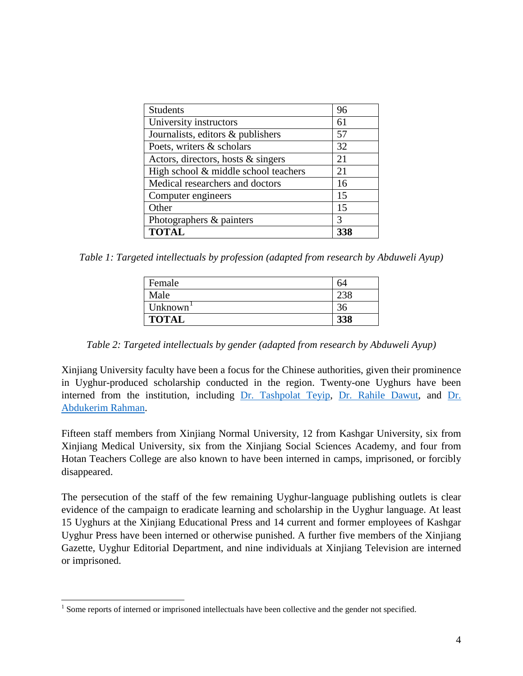| <b>Students</b>                      | 96            |
|--------------------------------------|---------------|
| University instructors               | 61            |
| Journalists, editors & publishers    | 57            |
| Poets, writers & scholars            | 32            |
| Actors, directors, hosts & singers   | 21            |
| High school & middle school teachers | 21            |
| Medical researchers and doctors      | 16            |
| Computer engineers                   | 15            |
| Other                                | 15            |
| Photographers & painters             | $\mathcal{R}$ |
| <b>TOTAL</b>                         |               |

*Table 1: Targeted intellectuals by profession (adapted from research by Abduweli Ayup)*

| Female       | h4  |
|--------------|-----|
| Male         |     |
| Unknown      | 36  |
| <b>TOTAL</b> | 338 |

*Table 2: Targeted intellectuals by gender (adapted from research by Abduweli Ayup)*

Xinjiang University faculty have been a focus for the Chinese authorities, given their prominence in Uyghur-produced scholarship conducted in the region. Twenty-one Uyghurs have been interned from the institution, including [Dr. Tashpolat Teyip,](https://www.rfa.org/english/news/uyghur/university-president-02202018173959.html) [Dr. Rahile Dawut,](https://www.nytimes.com/2018/08/10/world/asia/china-xinjiang-rahile-dawut.html) and [Dr.](https://livingotherwise.com/2018/10/02/abdukerim-rahman-surviving-without-books/)  [Abdukerim Rahman.](https://livingotherwise.com/2018/10/02/abdukerim-rahman-surviving-without-books/)

Fifteen staff members from Xinjiang Normal University, 12 from Kashgar University, six from Xinjiang Medical University, six from the Xinjiang Social Sciences Academy, and four from Hotan Teachers College are also known to have been interned in camps, imprisoned, or forcibly disappeared.

The persecution of the staff of the few remaining Uyghur-language publishing outlets is clear evidence of the campaign to eradicate learning and scholarship in the Uyghur language. At least 15 Uyghurs at the Xinjiang Educational Press and 14 current and former employees of Kashgar Uyghur Press have been interned or otherwise punished. A further five members of the Xinjiang Gazette, Uyghur Editorial Department, and nine individuals at Xinjiang Television are interned or imprisoned.

<span id="page-3-0"></span><sup>&</sup>lt;sup>1</sup> Some reports of interned or imprisoned intellectuals have been collective and the gender not specified.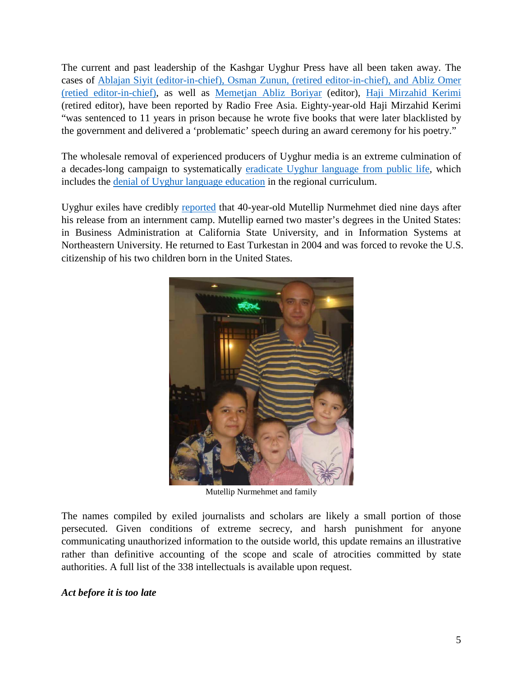The current and past leadership of the Kashgar Uyghur Press have all been taken away. The cases of Ablajan Siyit [\(editor-in-chief\), Osman Zunun, \(retired](https://www.rfa.org/english/news/uyghur/publisher-11122018150144.html) editor-in-chief), and Abliz Omer [\(retied editor-in-chief\),](https://www.rfa.org/english/news/uyghur/publisher-11122018150144.html) as well as [Memetjan Abliz Boriyar](https://www.rfa.org/english/news/uyghur/editor-11262018155525.html) (editor), [Haji Mirzahid Kerimi](https://www.rfa.org/english/news/uyghur/editor-11282018150748.html) (retired editor), have been reported by Radio Free Asia. Eighty-year-old Haji Mirzahid Kerimi "was sentenced to 11 years in prison because he wrote five books that were later blacklisted by the government and delivered a 'problematic' speech during an award ceremony for his poetry."

The wholesale removal of experienced producers of Uyghur media is an extreme culmination of a decades-long campaign to systematically [eradicate Uyghur](https://supchina.com/2019/01/02/the-patriotism-of-not-speaking-uyghur/) language from public life, which includes the [denial of Uyghur language education](https://uhrp.org/press-release/uhrp-releases-report-bilingual-education-east-turkestan%E2%80%94uyghur-voices-education.html) in the regional curriculum.

Uyghur exiles have credibly [reported](http://www.uyghuremergency.org/) that 40-year-old Mutellip Nurmehmet died nine days after his release from an internment camp. Mutellip earned two master's degrees in the United States: in Business Administration at California State University, and in Information Systems at Northeastern University. He returned to East Turkestan in 2004 and was forced to revoke the U.S. citizenship of his two children born in the United States.



Mutellip Nurmehmet and family

The names compiled by exiled journalists and scholars are likely a small portion of those persecuted. Given conditions of extreme secrecy, and harsh punishment for anyone communicating unauthorized information to the outside world, this update remains an illustrative rather than definitive accounting of the scope and scale of atrocities committed by state authorities. A full list of the 338 intellectuals is available upon request.

#### *Act before it is too late*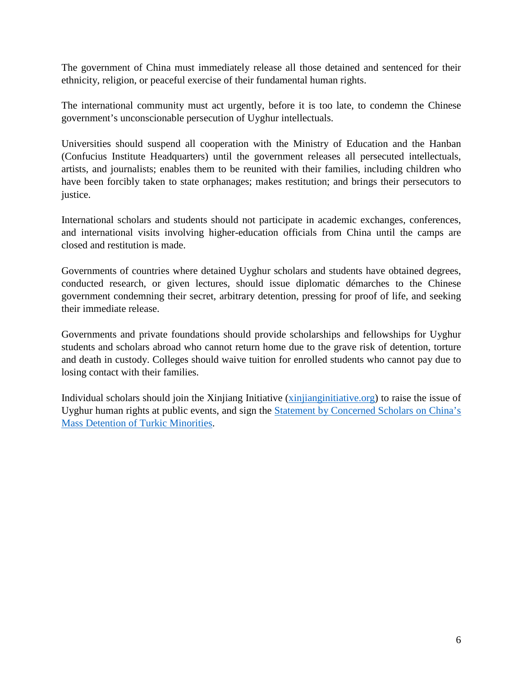The government of China must immediately release all those detained and sentenced for their ethnicity, religion, or peaceful exercise of their fundamental human rights.

The international community must act urgently, before it is too late, to condemn the Chinese government's unconscionable persecution of Uyghur intellectuals.

Universities should suspend all cooperation with the Ministry of Education and the Hanban (Confucius Institute Headquarters) until the government releases all persecuted intellectuals, artists, and journalists; enables them to be reunited with their families, including children who have been forcibly taken to state orphanages; makes restitution; and brings their persecutors to justice.

International scholars and students should not participate in academic exchanges, conferences, and international visits involving higher-education officials from China until the camps are closed and restitution is made.

Governments of countries where detained Uyghur scholars and students have obtained degrees, conducted research, or given lectures, should issue diplomatic démarches to the Chinese government condemning their secret, arbitrary detention, pressing for proof of life, and seeking their immediate release.

Governments and private foundations should provide scholarships and fellowships for Uyghur students and scholars abroad who cannot return home due to the grave risk of detention, torture and death in custody. Colleges should waive tuition for enrolled students who cannot pay due to losing contact with their families.

Individual scholars should join the Xinjiang Initiative [\(xinjianginitiative.org\)](https://xinjianginitiative.wixsite.com/xjinitiative) to raise the issue of Uyghur human rights at public events, and sign the [Statement by Concerned Scholars on China's](https://concernedscholars.home.blog/)  [Mass Detention of Turkic Minorities.](https://concernedscholars.home.blog/)